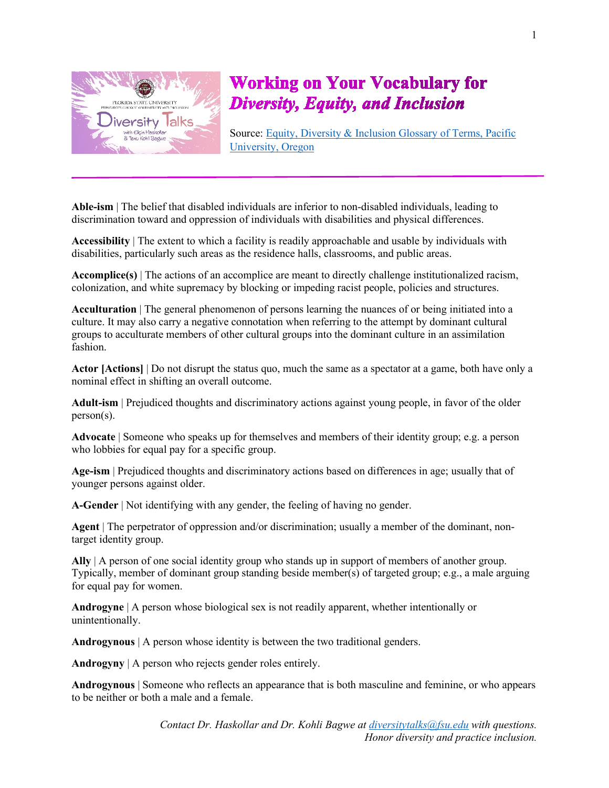

## **Working on Your Vocabulary for Diversity, Equity, and Inclusion**

Source: [Equity, Diversity & Inclusion Glossary of Terms, Pacific](https://www.pacificu.edu/life-pacific/support-safety/office-equity-diversity-inclusion/glossary-terms#H)  [University, Oregon](https://www.pacificu.edu/life-pacific/support-safety/office-equity-diversity-inclusion/glossary-terms#H)

**Able-ism** | The belief that disabled individuals are inferior to non-disabled individuals, leading to discrimination toward and oppression of individuals with disabilities and physical differences.

**Accessibility** | The extent to which a facility is readily approachable and usable by individuals with disabilities, particularly such areas as the residence halls, classrooms, and public areas.

**Accomplice(s)** | The actions of an accomplice are meant to directly challenge institutionalized racism, colonization, and white supremacy by blocking or impeding racist people, policies and structures.

**Acculturation** | The general phenomenon of persons learning the nuances of or being initiated into a culture. It may also carry a negative connotation when referring to the attempt by dominant cultural groups to acculturate members of other cultural groups into the dominant culture in an assimilation fashion.

**Actor [Actions]** | Do not disrupt the status quo, much the same as a spectator at a game, both have only a nominal effect in shifting an overall outcome.

**Adult-ism** | Prejudiced thoughts and discriminatory actions against young people, in favor of the older person(s).

**Advocate** | Someone who speaks up for themselves and members of their identity group; e.g. a person who lobbies for equal pay for a specific group.

**Age-ism** | Prejudiced thoughts and discriminatory actions based on differences in age; usually that of younger persons against older.

**A-Gender** | Not identifying with any gender, the feeling of having no gender.

**Agent** | The perpetrator of oppression and/or discrimination; usually a member of the dominant, nontarget identity group.

**Ally** | A person of one social identity group who stands up in support of members of another group. Typically, member of dominant group standing beside member(s) of targeted group; e.g., a male arguing for equal pay for women.

**Androgyne** | A person whose biological sex is not readily apparent, whether intentionally or unintentionally.

**Androgynous** | A person whose identity is between the two traditional genders.

**Androgyny** | A person who rejects gender roles entirely.

**Androgynous** | Someone who reflects an appearance that is both masculine and feminine, or who appears to be neither or both a male and a female.

> *Contact Dr. Haskollar and Dr. Kohli Bagwe at [diversitytalks@fsu.edu](mailto:diversitytalks@fsu.edu) with questions. Honor diversity and practice inclusion.*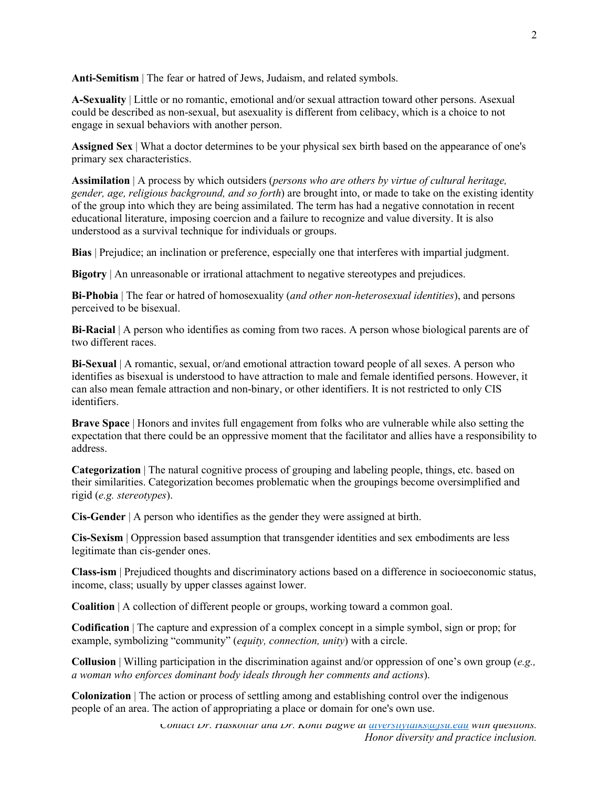Anti-Semitism | The fear or hatred of Jews, Judaism, and related symbols.

**A-Sexuality** | Little or no romantic, emotional and/or sexual attraction toward other persons. Asexual could be described as non-sexual, but asexuality is different from celibacy, which is a choice to not engage in sexual behaviors with another person.

**Assigned Sex** | What a doctor determines to be your physical sex birth based on the appearance of one's primary sex characteristics.

**Assimilation** | A process by which outsiders (*persons who are others by virtue of cultural heritage, gender, age, religious background, and so forth*) are brought into, or made to take on the existing identity of the group into which they are being assimilated. The term has had a negative connotation in recent educational literature, imposing coercion and a failure to recognize and value diversity. It is also understood as a survival technique for individuals or groups.

**Bias** | Prejudice; an inclination or preference, especially one that interferes with impartial judgment.

**Bigotry** | An unreasonable or irrational attachment to negative stereotypes and prejudices.

**Bi-Phobia** | The fear or hatred of homosexuality (*and other non‐heterosexual identities*), and persons perceived to be bisexual.

**Bi-Racial** | A person who identifies as coming from two races. A person whose biological parents are of two different races.

**Bi-Sexual** | A romantic, sexual, or/and emotional attraction toward people of all sexes. A person who identifies as bisexual is understood to have attraction to male and female identified persons. However, it can also mean female attraction and non-binary, or other identifiers. It is not restricted to only CIS identifiers.

**Brave Space** | Honors and invites full engagement from folks who are vulnerable while also setting the expectation that there could be an oppressive moment that the facilitator and allies have a responsibility to address.

**Categorization** | The natural cognitive process of grouping and labeling people, things, etc. based on their similarities. Categorization becomes problematic when the groupings become oversimplified and rigid (*e.g. stereotypes*).

**Cis-Gender** | A person who identifies as the gender they were assigned at birth.

**Cis-Sexism** | Oppression based assumption that transgender identities and sex embodiments are less legitimate than cis-gender ones.

**Class-ism** | Prejudiced thoughts and discriminatory actions based on a difference in socioeconomic status, income, class; usually by upper classes against lower.

**Coalition** | A collection of different people or groups, working toward a common goal.

**Codification** | The capture and expression of a complex concept in a simple symbol, sign or prop; for example, symbolizing "community" (*equity, connection, unity*) with a circle.

**Collusion** | Willing participation in the discrimination against and/or oppression of one's own group (*e.g., a woman who enforces dominant body ideals through her comments and actions*).

**Colonization** | The action or process of settling among and establishing control over the indigenous people of an area. The action of appropriating a place or domain for one's own use.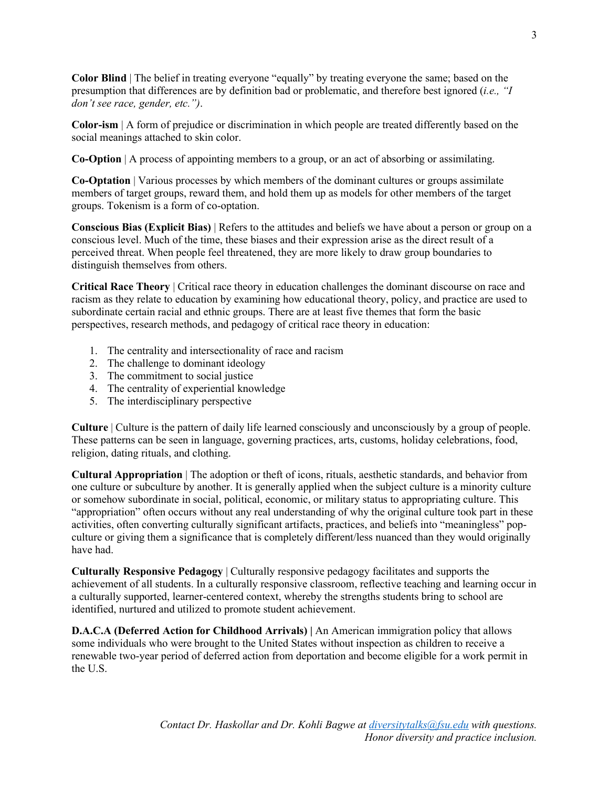**Color Blind** | The belief in treating everyone "equally" by treating everyone the same; based on the presumption that differences are by definition bad or problematic, and therefore best ignored (*i.e., "I don't see race, gender, etc.")*.

**Color-ism** | A form of prejudice or discrimination in which people are treated differently based on the social meanings attached to skin color.

**Co-Option** | A process of appointing members to a group, or an act of absorbing or assimilating.

**Co-Optation** | Various processes by which members of the dominant cultures or groups assimilate members of target groups, reward them, and hold them up as models for other members of the target groups. Tokenism is a form of co-optation.

**Conscious Bias (Explicit Bias)** | Refers to the attitudes and beliefs we have about a person or group on a conscious level. Much of the time, these biases and their expression arise as the direct result of a perceived threat. When people feel threatened, they are more likely to draw group boundaries to distinguish themselves from others.

**Critical Race Theory** | Critical race theory in education challenges the dominant discourse on race and racism as they relate to education by examining how educational theory, policy, and practice are used to subordinate certain racial and ethnic groups. There are at least five themes that form the basic perspectives, research methods, and pedagogy of critical race theory in education:

- 1. The centrality and intersectionality of race and racism
- 2. The challenge to dominant ideology
- 3. The commitment to social justice
- 4. The centrality of experiential knowledge
- 5. The interdisciplinary perspective

**Culture** | Culture is the pattern of daily life learned consciously and unconsciously by a group of people. These patterns can be seen in language, governing practices, arts, customs, holiday celebrations, food, religion, dating rituals, and clothing.

**Cultural Appropriation** | The adoption or theft of icons, rituals, aesthetic standards, and behavior from one culture or subculture by another. It is generally applied when the subject culture is a minority culture or somehow subordinate in social, political, economic, or military status to appropriating culture. This "appropriation" often occurs without any real understanding of why the original culture took part in these activities, often converting culturally significant artifacts, practices, and beliefs into "meaningless" popculture or giving them a significance that is completely different/less nuanced than they would originally have had.

**Culturally Responsive Pedagogy** | Culturally responsive pedagogy facilitates and supports the achievement of all students. In a culturally responsive classroom, reflective teaching and learning occur in a culturally supported, learner-centered context, whereby the strengths students bring to school are identified, nurtured and utilized to promote student achievement.

**D.A.C.A (Deferred Action for Childhood Arrivals) |** An American immigration policy that allows some individuals who were brought to the United States without inspection as children to receive a renewable two-year period of deferred action from deportation and become eligible for a work permit in the U.S.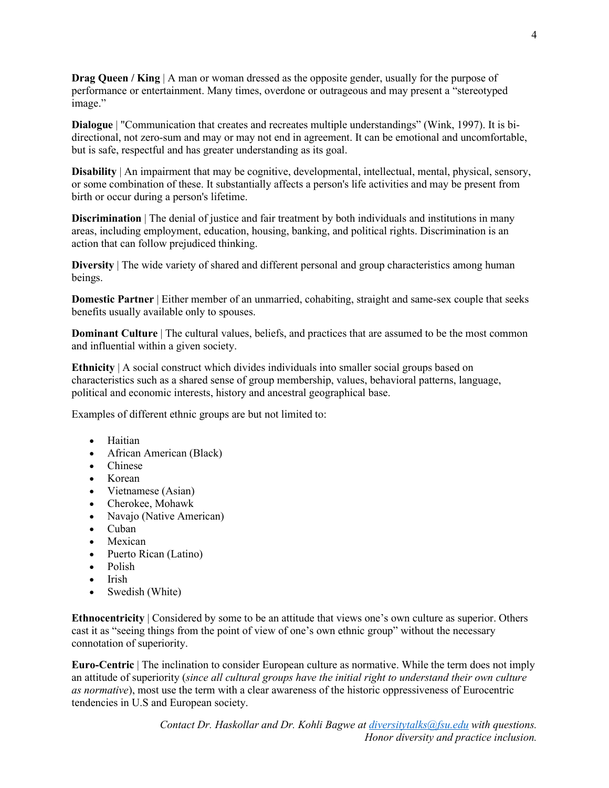**Drag Queen / King** | A man or woman dressed as the opposite gender, usually for the purpose of performance or entertainment. Many times, overdone or outrageous and may present a "stereotyped image."

**Dialogue** | "Communication that creates and recreates multiple understandings" (Wink, 1997). It is bidirectional, not zero‐sum and may or may not end in agreement. It can be emotional and uncomfortable, but is safe, respectful and has greater understanding as its goal.

**Disability** | An impairment that may be cognitive, developmental, intellectual, mental, physical, sensory, or some combination of these. It substantially affects a person's life activities and may be present from birth or occur during a person's lifetime.

**Discrimination** The denial of justice and fair treatment by both individuals and institutions in many areas, including employment, education, housing, banking, and political rights. Discrimination is an action that can follow prejudiced thinking.

**Diversity** | The wide variety of shared and different personal and group characteristics among human beings.

**Domestic Partner** | Either member of an unmarried, cohabiting, straight and same-sex couple that seeks benefits usually available only to spouses.

**Dominant Culture** | The cultural values, beliefs, and practices that are assumed to be the most common and influential within a given society.

**Ethnicity** | A social construct which divides individuals into smaller social groups based on characteristics such as a shared sense of group membership, values, behavioral patterns, language, political and economic interests, history and ancestral geographical base.

Examples of different ethnic groups are but not limited to:

- Haitian
- African American (Black)
- Chinese
- Korean
- Vietnamese (Asian)
- Cherokee, Mohawk
- Navajo (Native American)
- Cuban
- Mexican
- Puerto Rican (Latino)
- Polish
- Irish
- Swedish (White)

**Ethnocentricity** | Considered by some to be an attitude that views one's own culture as superior. Others cast it as "seeing things from the point of view of one's own ethnic group" without the necessary connotation of superiority.

**Euro-Centric** | The inclination to consider European culture as normative. While the term does not imply an attitude of superiority (*since all cultural groups have the initial right to understand their own culture as normative*), most use the term with a clear awareness of the historic oppressiveness of Eurocentric tendencies in U.S and European society.

> *Contact Dr. Haskollar and Dr. Kohli Bagwe at [diversitytalks@fsu.edu](mailto:diversitytalks@fsu.edu) with questions. Honor diversity and practice inclusion.*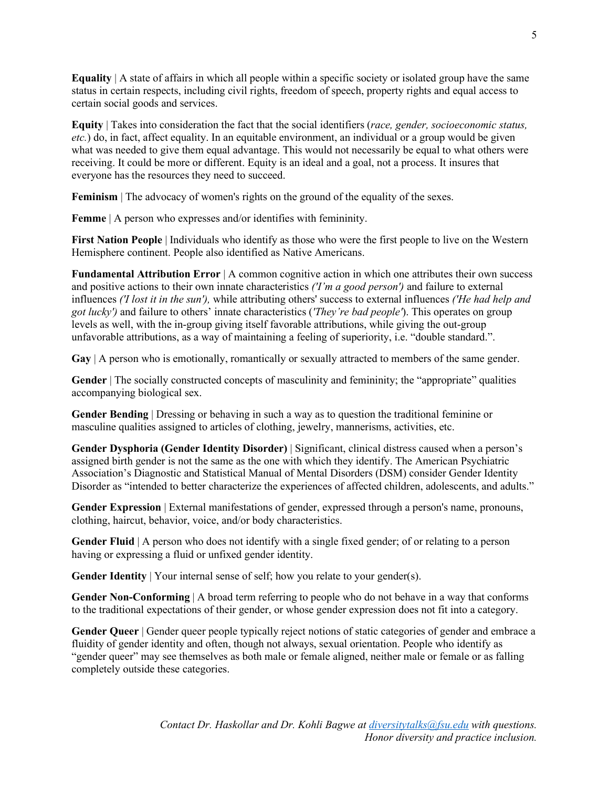**Equality** | A state of affairs in which all people within a specific society or isolated group have the same status in certain respects, including civil rights, freedom of speech, property rights and equal access to certain social goods and services.

**Equity** | Takes into consideration the fact that the social identifiers (*race, gender, socioeconomic status, etc.*) do, in fact, affect equality. In an equitable environment, an individual or a group would be given what was needed to give them equal advantage. This would not necessarily be equal to what others were receiving. It could be more or different. Equity is an ideal and a goal, not a process. It insures that everyone has the resources they need to succeed.

Feminism | The advocacy of women's rights on the ground of the equality of the sexes.

**Femme** | A person who expresses and/or identifies with femininity.

**First Nation People** | Individuals who identify as those who were the first people to live on the Western Hemisphere continent. People also identified as Native Americans.

**Fundamental Attribution Error** | A common cognitive action in which one attributes their own success and positive actions to their own innate characteristics *('I'm a good person')* and failure to external influences *('I lost it in the sun'),* while attributing others' success to external influences *('He had help and got lucky')* and failure to others' innate characteristics (*'They're bad people'*). This operates on group levels as well, with the in-group giving itself favorable attributions, while giving the out-group unfavorable attributions, as a way of maintaining a feeling of superiority, i.e. "double standard.".

**Gay** | A person who is emotionally, romantically or sexually attracted to members of the same gender.

**Gender** | The socially constructed concepts of masculinity and femininity; the "appropriate" qualities accompanying biological sex.

**Gender Bending** | Dressing or behaving in such a way as to question the traditional feminine or masculine qualities assigned to articles of clothing, jewelry, mannerisms, activities, etc.

**Gender Dysphoria (Gender Identity Disorder)** | Significant, clinical distress caused when a person's assigned birth gender is not the same as the one with which they identify. The American Psychiatric Association's Diagnostic and Statistical Manual of Mental Disorders (DSM) consider Gender Identity Disorder as "intended to better characterize the experiences of affected children, adolescents, and adults."

**Gender Expression** | External manifestations of gender, expressed through a person's name, pronouns, clothing, haircut, behavior, voice, and/or body characteristics.

**Gender Fluid** | A person who does not identify with a single fixed gender; of or relating to a person having or expressing a fluid or unfixed gender identity.

**Gender Identity** | Your internal sense of self; how you relate to your gender(s).

**Gender Non-Conforming** | A broad term referring to people who do not behave in a way that conforms to the traditional expectations of their gender, or whose gender expression does not fit into a category.

**Gender Queer** | Gender queer people typically reject notions of static categories of gender and embrace a fluidity of gender identity and often, though not always, sexual orientation. People who identify as "gender queer" may see themselves as both male or female aligned, neither male or female or as falling completely outside these categories.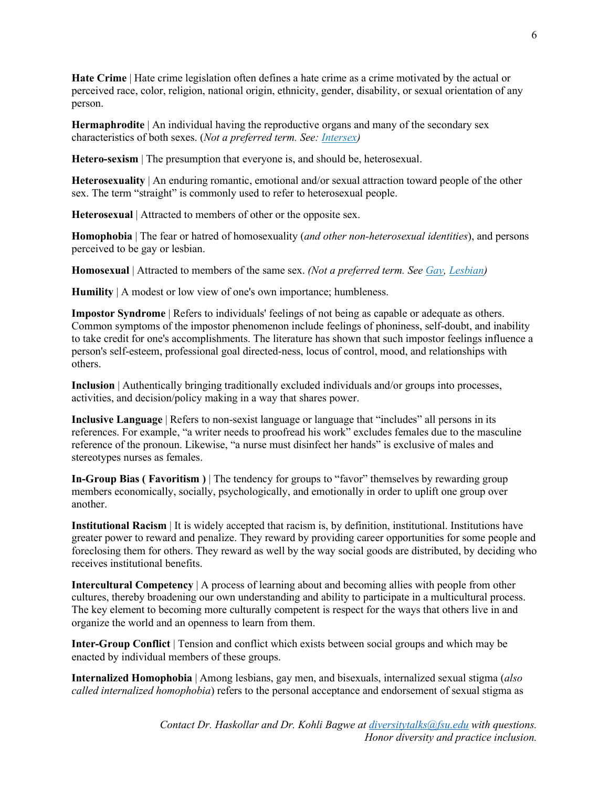**Hate Crime** | Hate crime legislation often defines a hate crime as a crime motivated by the actual or perceived race, color, religion, national origin, ethnicity, gender, disability, or sexual orientation of any person.

**Hermaphrodite** | An individual having the reproductive organs and many of the secondary sex characteristics of both sexes. (*Not a preferred term. See: [Intersex](https://www.pacificu.edu/life-pacific/support-safety/office-equity-diversity-inclusion/glossary-terms#Intersex))*

**Hetero-sexism** | The presumption that everyone is, and should be, heterosexual.

**Heterosexuality** | An enduring romantic, emotional and/or sexual attraction toward people of the other sex. The term "straight" is commonly used to refer to heterosexual people.

**Heterosexual** | Attracted to members of other or the opposite sex.

**Homophobia** | The fear or hatred of homosexuality (*and other non‐heterosexual identities*), and persons perceived to be gay or lesbian.

**Homosexual** | Attracted to members of the same sex. *(Not a preferred term. See [Gay,](https://www.pacificu.edu/life-pacific/support-safety/office-equity-diversity-inclusion/glossary-terms#Gay) [Lesbian\)](https://www.pacificu.edu/life-pacific/support-safety/office-equity-diversity-inclusion/glossary-terms#Lesbian)*

**Humility** | A modest or low view of one's own importance; humbleness.

**Impostor Syndrome** | Refers to individuals' feelings of not being as capable or adequate as others. Common symptoms of the impostor phenomenon include feelings of phoniness, self-doubt, and inability to take credit for one's accomplishments. The literature has shown that such impostor feelings influence a person's self-esteem, professional goal directed-ness, locus of control, mood, and relationships with others.

**Inclusion** | Authentically bringing traditionally excluded individuals and/or groups into processes, activities, and decision/policy making in a way that shares power.

**Inclusive Language** | Refers to non-sexist language or language that "includes" all persons in its references. For example, "a writer needs to proofread his work" excludes females due to the masculine reference of the pronoun. Likewise, "a nurse must disinfect her hands" is exclusive of males and stereotypes nurses as females.

**In-Group Bias ( Favoritism )** | The tendency for groups to "favor" themselves by rewarding group members economically, socially, psychologically, and emotionally in order to uplift one group over another.

**Institutional Racism** | It is widely accepted that racism is, by definition, institutional. Institutions have greater power to reward and penalize. They reward by providing career opportunities for some people and foreclosing them for others. They reward as well by the way social goods are distributed, by deciding who receives institutional benefits.

**Intercultural Competency** | A process of learning about and becoming allies with people from other cultures, thereby broadening our own understanding and ability to participate in a multicultural process. The key element to becoming more culturally competent is respect for the ways that others live in and organize the world and an openness to learn from them.

**Inter-Group Conflict** | Tension and conflict which exists between social groups and which may be enacted by individual members of these groups.

**Internalized Homophobia** | Among lesbians, gay men, and bisexuals, internalized sexual stigma (*also called internalized homophobia*) refers to the personal acceptance and endorsement of sexual stigma as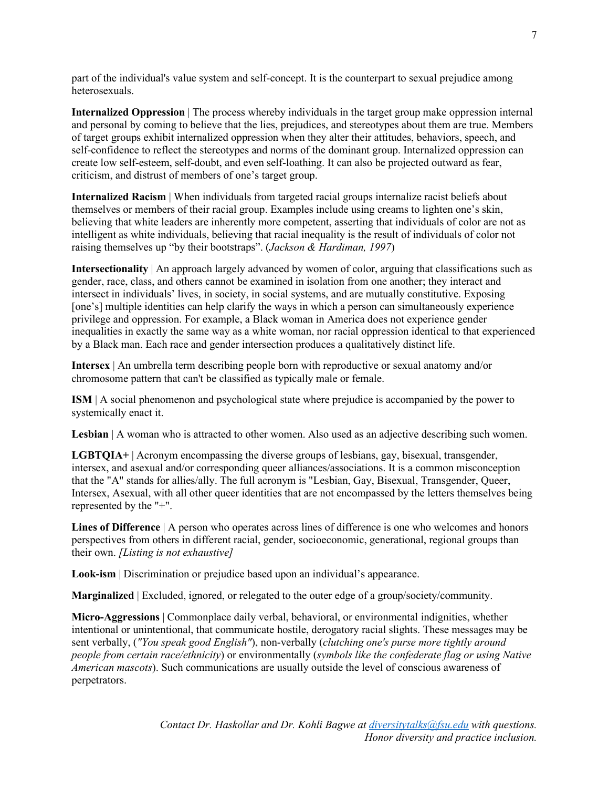part of the individual's value system and self-concept. It is the counterpart to sexual prejudice among heterosexuals.

**Internalized Oppression** | The process whereby individuals in the target group make oppression internal and personal by coming to believe that the lies, prejudices, and stereotypes about them are true. Members of target groups exhibit internalized oppression when they alter their attitudes, behaviors, speech, and self-confidence to reflect the stereotypes and norms of the dominant group. Internalized oppression can create low self-esteem, self-doubt, and even self-loathing. It can also be projected outward as fear, criticism, and distrust of members of one's target group.

**Internalized Racism** | When individuals from targeted racial groups internalize racist beliefs about themselves or members of their racial group. Examples include using creams to lighten one's skin, believing that white leaders are inherently more competent, asserting that individuals of color are not as intelligent as white individuals, believing that racial inequality is the result of individuals of color not raising themselves up "by their bootstraps". (*Jackson & Hardiman, 1997*)

**Intersectionality** | An approach largely advanced by women of color, arguing that classifications such as gender, race, class, and others cannot be examined in isolation from one another; they interact and intersect in individuals' lives, in society, in social systems, and are mutually constitutive. Exposing [one's] multiple identities can help clarify the ways in which a person can simultaneously experience privilege and oppression. For example, a Black woman in America does not experience gender inequalities in exactly the same way as a white woman, nor racial oppression identical to that experienced by a Black man. Each race and gender intersection produces a qualitatively distinct life.

**Intersex** | An umbrella term describing people born with reproductive or sexual anatomy and/or chromosome pattern that can't be classified as typically male or female.

**ISM** | A social phenomenon and psychological state where prejudice is accompanied by the power to systemically enact it.

**Lesbian** | A woman who is attracted to other women. Also used as an adjective describing such women.

**LGBTQIA+** | Acronym encompassing the diverse groups of lesbians, gay, bisexual, transgender, intersex, and asexual and/or corresponding queer alliances/associations. It is a common misconception that the "A" stands for allies/ally. The full acronym is "Lesbian, Gay, Bisexual, Transgender, Queer, Intersex, Asexual, with all other queer identities that are not encompassed by the letters themselves being represented by the "+".

**Lines of Difference** | A person who operates across lines of difference is one who welcomes and honors perspectives from others in different racial, gender, socioeconomic, generational, regional groups than their own. *[Listing is not exhaustive]*

**Look-ism** | Discrimination or prejudice based upon an individual's appearance.

**Marginalized** | Excluded, ignored, or relegated to the outer edge of a group/society/community.

**Micro-Aggressions** | Commonplace daily verbal, behavioral, or environmental indignities, whether intentional or unintentional, that communicate hostile, derogatory racial slights. These messages may be sent verbally, (*"You speak good English"*), non-verbally (*clutching one's purse more tightly around people from certain race/ethnicity*) or environmentally (*symbols like the confederate flag or using Native American mascots*). Such communications are usually outside the level of conscious awareness of perpetrators.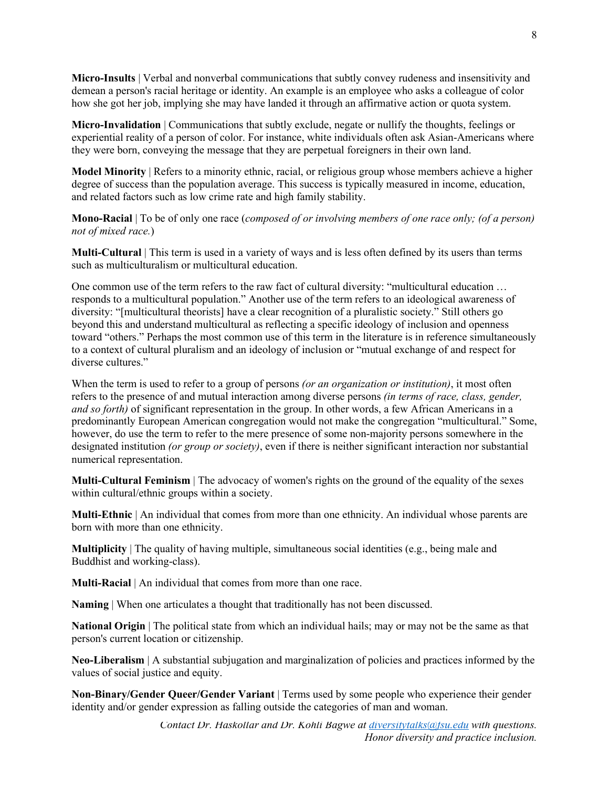**Micro-Insults** | Verbal and nonverbal communications that subtly convey rudeness and insensitivity and demean a person's racial heritage or identity. An example is an employee who asks a colleague of color how she got her job, implying she may have landed it through an affirmative action or quota system.

**Micro-Invalidation** | Communications that subtly exclude, negate or nullify the thoughts, feelings or experiential reality of a person of color. For instance, white individuals often ask Asian-Americans where they were born, conveying the message that they are perpetual foreigners in their own land.

**Model Minority** | Refers to a minority ethnic, racial, or religious group whose members achieve a higher degree of success than the population average. This success is typically measured in income, education, and related factors such as low crime rate and high family stability.

**Mono-Racial** | To be of only one race (*composed of or involving members of one race only; (of a person) not of mixed race.*)

**Multi-Cultural** | This term is used in a variety of ways and is less often defined by its users than terms such as multiculturalism or multicultural education.

One common use of the term refers to the raw fact of cultural diversity: "multicultural education … responds to a multicultural population." Another use of the term refers to an ideological awareness of diversity: "[multicultural theorists] have a clear recognition of a pluralistic society." Still others go beyond this and understand multicultural as reflecting a specific ideology of inclusion and openness toward "others." Perhaps the most common use of this term in the literature is in reference simultaneously to a context of cultural pluralism and an ideology of inclusion or "mutual exchange of and respect for diverse cultures."

When the term is used to refer to a group of persons *(or an organization or institution)*, it most often refers to the presence of and mutual interaction among diverse persons *(in terms of race, class, gender, and so forth)* of significant representation in the group. In other words, a few African Americans in a predominantly European American congregation would not make the congregation "multicultural." Some, however, do use the term to refer to the mere presence of some non-majority persons somewhere in the designated institution *(or group or society)*, even if there is neither significant interaction nor substantial numerical representation.

**Multi-Cultural Feminism** | The advocacy of women's rights on the ground of the equality of the sexes within cultural/ethnic groups within a society.

**Multi-Ethnic** | An individual that comes from more than one ethnicity. An individual whose parents are born with more than one ethnicity.

**Multiplicity** | The quality of having multiple, simultaneous social identities (e.g., being male and Buddhist and working-class).

**Multi-Racial** | An individual that comes from more than one race.

**Naming** | When one articulates a thought that traditionally has not been discussed.

**National Origin** | The political state from which an individual hails; may or may not be the same as that person's current location or citizenship.

**Neo-Liberalism** | A substantial subjugation and marginalization of policies and practices informed by the values of social justice and equity.

**Non-Binary/Gender Queer/Gender Variant** | Terms used by some people who experience their gender identity and/or gender expression as falling outside the categories of man and woman.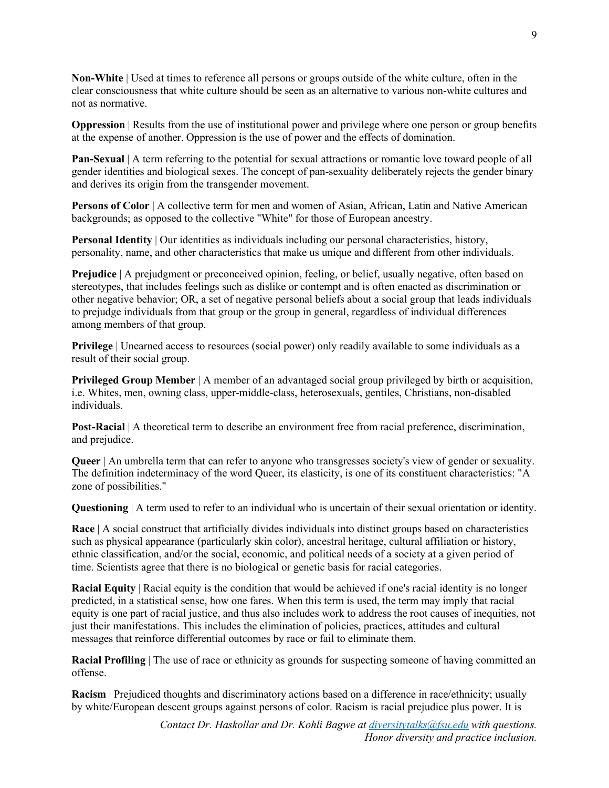**Non-White** | Used at times to reference all persons or groups outside of the white culture, often in the clear consciousness that white culture should be seen as an alternative to various non-white cultures and not as normative.

**Oppression** | Results from the use of institutional power and privilege where one person or group benefits at the expense of another. Oppression is the use of power and the effects of domination.

**Pan-Sexual** | A term referring to the potential for sexual attractions or romantic love toward people of all gender identities and biological sexes. The concept of pan-sexuality deliberately rejects the gender binary and derives its origin from the transgender movement.

**Persons of Color** | A collective term for men and women of Asian, African, Latin and Native American backgrounds; as opposed to the collective "White" for those of European ancestry.

**Personal Identity** | Our identities as individuals including our personal characteristics, history, personality, name, and other characteristics that make us unique and different from other individuals.

**Prejudice** | A prejudgment or preconceived opinion, feeling, or belief, usually negative, often based on stereotypes, that includes feelings such as dislike or contempt and is often enacted as discrimination or other negative behavior; OR, a set of negative personal beliefs about a social group that leads individuals to prejudge individuals from that group or the group in general, regardless of individual differences among members of that group.

**Privilege** | Unearned access to resources (social power) only readily available to some individuals as a result of their social group.

**Privileged Group Member** | A member of an advantaged social group privileged by birth or acquisition, i.e. Whites, men, owning class, upper-middle-class, heterosexuals, gentiles, Christians, non-disabled individuals.

**Post-Racial** | A theoretical term to describe an environment free from racial preference, discrimination, and prejudice.

**Queer** | An umbrella term that can refer to anyone who transgresses society's view of gender or sexuality. The definition indeterminacy of the word Queer, its elasticity, is one of its constituent characteristics: "A zone of possibilities."

**Questioning** | A term used to refer to an individual who is uncertain of their sexual orientation or identity.

**Race** | A social construct that artificially divides individuals into distinct groups based on characteristics such as physical appearance (particularly skin color), ancestral heritage, cultural affiliation or history, ethnic classification, and/or the social, economic, and political needs of a society at a given period of time. Scientists agree that there is no biological or genetic basis for racial categories.

**Racial Equity** | Racial equity is the condition that would be achieved if one's racial identity is no longer predicted, in a statistical sense, how one fares. When this term is used, the term may imply that racial equity is one part of racial justice, and thus also includes work to address the root causes of inequities, not just their manifestations. This includes the elimination of policies, practices, attitudes and cultural messages that reinforce differential outcomes by race or fail to eliminate them.

**Racial Profiling** The use of race or ethnicity as grounds for suspecting someone of having committed an offense.

**Racism** | Prejudiced thoughts and discriminatory actions based on a difference in race/ethnicity; usually by white/European descent groups against persons of color. Racism is racial prejudice plus power. It is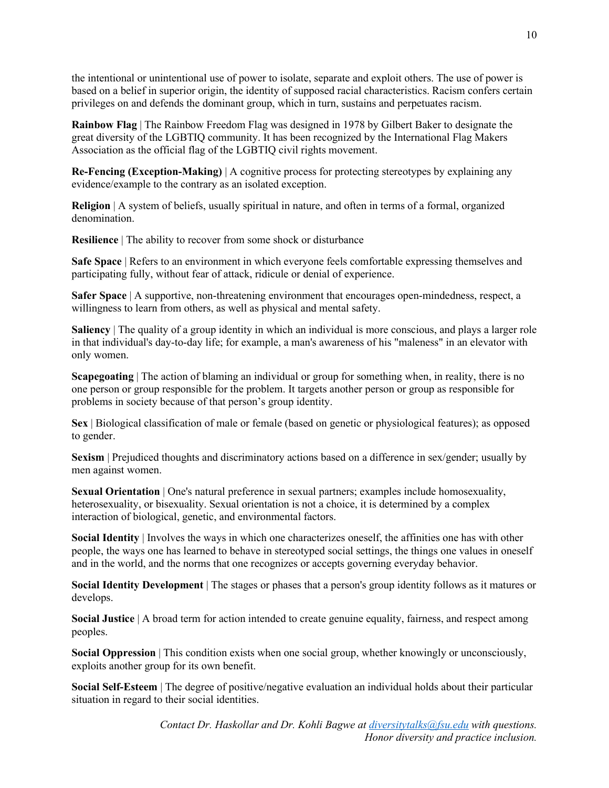the intentional or unintentional use of power to isolate, separate and exploit others. The use of power is based on a belief in superior origin, the identity of supposed racial characteristics. Racism confers certain privileges on and defends the dominant group, which in turn, sustains and perpetuates racism.

**Rainbow Flag** | The Rainbow Freedom Flag was designed in 1978 by Gilbert Baker to designate the great diversity of the LGBTIQ community. It has been recognized by the International Flag Makers Association as the official flag of the LGBTIQ civil rights movement.

**Re-Fencing (Exception-Making)** | A cognitive process for protecting stereotypes by explaining any evidence/example to the contrary as an isolated exception.

**Religion** | A system of beliefs, usually spiritual in nature, and often in terms of a formal, organized denomination.

**Resilience** | The ability to recover from some shock or disturbance

**Safe Space** | Refers to an environment in which everyone feels comfortable expressing themselves and participating fully, without fear of attack, ridicule or denial of experience.

**Safer Space** | A supportive, non-threatening environment that encourages open-mindedness, respect, a willingness to learn from others, as well as physical and mental safety.

**Saliency** The quality of a group identity in which an individual is more conscious, and plays a larger role in that individual's day‐to‐day life; for example, a man's awareness of his "maleness" in an elevator with only women.

**Scapegoating** The action of blaming an individual or group for something when, in reality, there is no one person or group responsible for the problem. It targets another person or group as responsible for problems in society because of that person's group identity.

**Sex** | Biological classification of male or female (based on genetic or physiological features); as opposed to gender.

**Sexism** | Prejudiced thoughts and discriminatory actions based on a difference in sex/gender; usually by men against women.

**Sexual Orientation** | One's natural preference in sexual partners; examples include homosexuality, heterosexuality, or bisexuality. Sexual orientation is not a choice, it is determined by a complex interaction of biological, genetic, and environmental factors.

**Social Identity** | Involves the ways in which one characterizes oneself, the affinities one has with other people, the ways one has learned to behave in stereotyped social settings, the things one values in oneself and in the world, and the norms that one recognizes or accepts governing everyday behavior.

**Social Identity Development** | The stages or phases that a person's group identity follows as it matures or develops.

**Social Justice** | A broad term for action intended to create genuine equality, fairness, and respect among peoples.

**Social Oppression** | This condition exists when one social group, whether knowingly or unconsciously, exploits another group for its own benefit.

**Social Self-Esteem** | The degree of positive/negative evaluation an individual holds about their particular situation in regard to their social identities.

> *Contact Dr. Haskollar and Dr. Kohli Bagwe at [diversitytalks@fsu.edu](mailto:diversitytalks@fsu.edu) with questions. Honor diversity and practice inclusion.*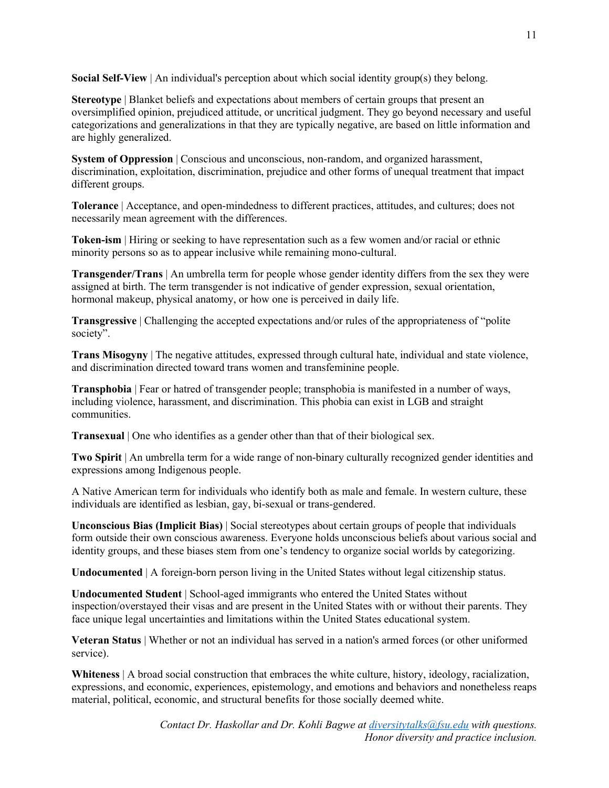**Social Self-View** | An individual's perception about which social identity group(s) they belong.

**Stereotype** | Blanket beliefs and expectations about members of certain groups that present an oversimplified opinion, prejudiced attitude, or uncritical judgment. They go beyond necessary and useful categorizations and generalizations in that they are typically negative, are based on little information and are highly generalized.

**System of Oppression** | Conscious and unconscious, non-random, and organized harassment, discrimination, exploitation, discrimination, prejudice and other forms of unequal treatment that impact different groups.

**Tolerance** | Acceptance, and open‐mindedness to different practices, attitudes, and cultures; does not necessarily mean agreement with the differences.

**Token-ism** | Hiring or seeking to have representation such as a few women and/or racial or ethnic minority persons so as to appear inclusive while remaining mono-cultural.

**Transgender/Trans** | An umbrella term for people whose gender identity differs from the sex they were assigned at birth. The term transgender is not indicative of gender expression, sexual orientation, hormonal makeup, physical anatomy, or how one is perceived in daily life.

**Transgressive** | Challenging the accepted expectations and/or rules of the appropriateness of "polite society".

**Trans Misogyny** | The negative attitudes, expressed through cultural hate, individual and state violence, and discrimination directed toward trans women and transfeminine people.

**Transphobia** | Fear or hatred of transgender people; transphobia is manifested in a number of ways, including violence, harassment, and discrimination. This phobia can exist in LGB and straight communities.

**Transexual** | One who identifies as a gender other than that of their biological sex.

**Two Spirit** | An umbrella term for a wide range of non-binary culturally recognized gender identities and expressions among Indigenous people.

A Native American term for individuals who identify both as male and female. In western culture, these individuals are identified as lesbian, gay, bi‐sexual or trans-gendered.

**Unconscious Bias (Implicit Bias)** | Social stereotypes about certain groups of people that individuals form outside their own conscious awareness. Everyone holds unconscious beliefs about various social and identity groups, and these biases stem from one's tendency to organize social worlds by categorizing.

**Undocumented** | A foreign-born person living in the United States without legal citizenship status.

**Undocumented Student** | School-aged immigrants who entered the United States without inspection/overstayed their visas and are present in the United States with or without their parents. They face unique legal uncertainties and limitations within the United States educational system.

**Veteran Status** | Whether or not an individual has served in a nation's armed forces (or other uniformed service).

**Whiteness** | A broad social construction that embraces the white culture, history, ideology, racialization, expressions, and economic, experiences, epistemology, and emotions and behaviors and nonetheless reaps material, political, economic, and structural benefits for those socially deemed white.